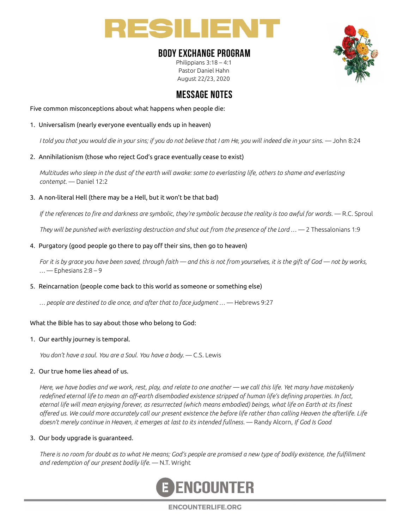

## BODY EXCHANGE PROGRAM

Philippians 3:18 – 4:1 Pastor Daniel Hahn August 22/23, 2020



# MESSAGE NOTES

Five common misconceptions about what happens when people die:

1. Universalism (nearly everyone eventually ends up in heaven)

I told you that you would die in your sins; if you do not believe that I am He, you will indeed die in your sins. — John 8:24

2. Annihilationism (those who reject God's grace eventually cease to exist)

Multitudes who sleep in the dust of the earth will awake: some to everlasting life, others to shame and everlasting contempt. — Daniel 12:2

3. A non-literal Hell (there may be a Hell, but it won't be that bad)

If the references to fire and darkness are symbolic, they're symbolic because the reality is too awful for words.  $-$  R.C. Sproul

They will be punished with everlasting destruction and shut out from the presence of the Lord  $\ldots$   $-$  2 Thessalonians 1:9

#### 4. Purgatory (good people go there to pay off their sins, then go to heaven)

For it is by grace you have been saved, through faith — and this is not from yourselves, it is the gift of God — not by works,  $...$   $-$  Ephesians 2:8  $-$  9

### 5. Reincarnation (people come back to this world as someone or something else)

… people are destined to die once, and after that to face judgment … — Hebrews 9:27

### What the Bible has to say about those who belong to God:

#### 1. Our earthly journey is temporal.

You don't have a soul. You are a Soul. You have a body. — C.S. Lewis

#### 2. Our true home lies ahead of us.

Here, we have bodies and we work, rest, play, and relate to one another — we call this life. Yet many have mistakenly redefined eternal life to mean an off-earth disembodied existence stripped of human life's defining properties. In fact, eternal life will mean enjoying forever, as resurrected (which means embodied) beings, what life on Earth at its finest offered us. We could more accurately call our present existence the before life rather than calling Heaven the afterlife. Life doesn't merely continue in Heaven, it emerges at last to its intended fullness. — Randy Alcorn, If God Is Good

#### 3. Our body upgrade is guaranteed.

There is no room for doubt as to what He means; God's people are promised a new type of bodily existence, the fulfillment and redemption of our present bodily life. - N.T. Wright



**ENCOUNTERLIFE.ORG**